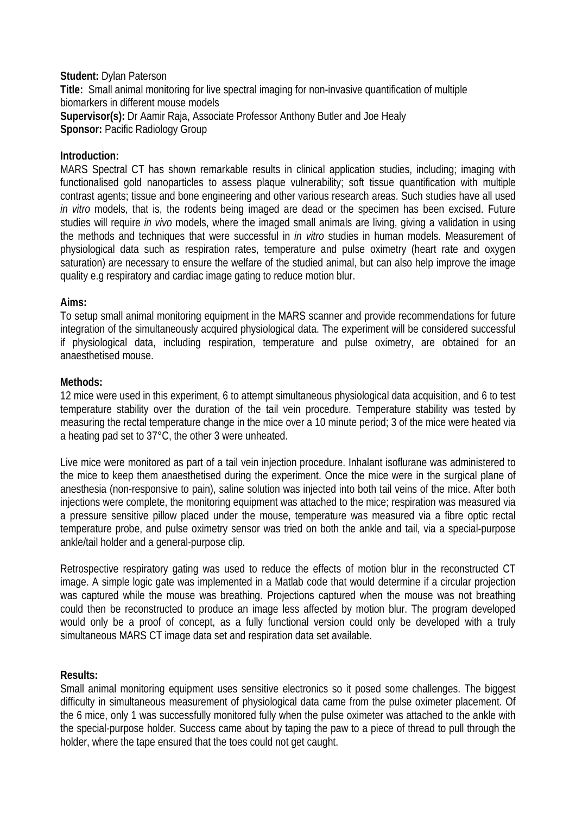### **Student:** Dylan Paterson **Title:** Small animal monitoring for live spectral imaging for non-invasive quantification of multiple biomarkers in different mouse models **Supervisor(s):** Dr Aamir Raja, Associate Professor Anthony Butler and Joe Healy **Sponsor: Pacific Radiology Group**

## **Introduction:**

MARS Spectral CT has shown remarkable results in clinical application studies, including; imaging with functionalised gold nanoparticles to assess plaque vulnerability; soft tissue quantification with multiple contrast agents; tissue and bone engineering and other various research areas. Such studies have all used *in vitro* models, that is, the rodents being imaged are dead or the specimen has been excised. Future studies will require *in vivo* models, where the imaged small animals are living, giving a validation in using the methods and techniques that were successful in *in vitro* studies in human models. Measurement of physiological data such as respiration rates, temperature and pulse oximetry (heart rate and oxygen saturation) are necessary to ensure the welfare of the studied animal, but can also help improve the image quality e.g respiratory and cardiac image gating to reduce motion blur.

### **Aims:**

To setup small animal monitoring equipment in the MARS scanner and provide recommendations for future integration of the simultaneously acquired physiological data. The experiment will be considered successful if physiological data, including respiration, temperature and pulse oximetry, are obtained for an anaesthetised mouse.

### **Methods:**

12 mice were used in this experiment, 6 to attempt simultaneous physiological data acquisition, and 6 to test temperature stability over the duration of the tail vein procedure. Temperature stability was tested by measuring the rectal temperature change in the mice over a 10 minute period; 3 of the mice were heated via a heating pad set to 37°C, the other 3 were unheated.

Live mice were monitored as part of a tail vein injection procedure. Inhalant isoflurane was administered to the mice to keep them anaesthetised during the experiment. Once the mice were in the surgical plane of anesthesia (non-responsive to pain), saline solution was injected into both tail veins of the mice. After both injections were complete, the monitoring equipment was attached to the mice; respiration was measured via a pressure sensitive pillow placed under the mouse, temperature was measured via a fibre optic rectal temperature probe, and pulse oximetry sensor was tried on both the ankle and tail, via a special-purpose ankle/tail holder and a general-purpose clip.

Retrospective respiratory gating was used to reduce the effects of motion blur in the reconstructed CT image. A simple logic gate was implemented in a Matlab code that would determine if a circular projection was captured while the mouse was breathing. Projections captured when the mouse was not breathing could then be reconstructed to produce an image less affected by motion blur. The program developed would only be a proof of concept, as a fully functional version could only be developed with a truly simultaneous MARS CT image data set and respiration data set available.

# **Results:**

Small animal monitoring equipment uses sensitive electronics so it posed some challenges. The biggest difficulty in simultaneous measurement of physiological data came from the pulse oximeter placement. Of the 6 mice, only 1 was successfully monitored fully when the pulse oximeter was attached to the ankle with the special-purpose holder. Success came about by taping the paw to a piece of thread to pull through the holder, where the tape ensured that the toes could not get caught.